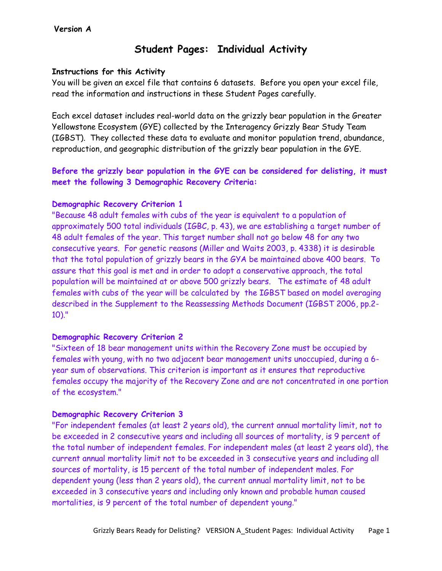### **Version A**

# **Student Pages: Individual Activity**

### **Instructions for this Activity**

You will be given an excel file that contains 6 datasets. Before you open your excel file, read the information and instructions in these Student Pages carefully.

Each excel dataset includes real-world data on the grizzly bear population in the Greater Yellowstone Ecosystem (GYE) collected by the Interagency Grizzly Bear Study Team (IGBST). They collected these data to evaluate and monitor population trend, abundance, reproduction, and geographic distribution of the grizzly bear population in the GYE.

## **Before the grizzly bear population in the GYE can be considered for delisting, it must meet the following 3 Demographic Recovery Criteria:**

### **Demographic Recovery Criterion 1**

"Because 48 adult females with cubs of the year is equivalent to a population of approximately 500 total individuals (IGBC, p. 43), we are establishing a target number of 48 adult females of the year. This target number shall not go below 48 for any two consecutive years. For genetic reasons (Miller and Waits 2003, p. 4338) it is desirable that the total population of grizzly bears in the GYA be maintained above 400 bears. To assure that this goal is met and in order to adopt a conservative approach, the total population will be maintained at or above 500 grizzly bears. The estimate of 48 adult females with cubs of the year will be calculated by the IGBST based on model averaging described in the Supplement to the Reassessing Methods Document (IGBST 2006, pp.2- 10)."

### **Demographic Recovery Criterion 2**

"Sixteen of 18 bear management units within the Recovery Zone must be occupied by females with young, with no two adjacent bear management units unoccupied, during a 6 year sum of observations. This criterion is important as it ensures that reproductive females occupy the majority of the Recovery Zone and are not concentrated in one portion of the ecosystem."

### **Demographic Recovery Criterion 3**

"For independent females (at least 2 years old), the current annual mortality limit, not to be exceeded in 2 consecutive years and including all sources of mortality, is 9 percent of the total number of independent females. For independent males (at least 2 years old), the current annual mortality limit not to be exceeded in 3 consecutive years and including all sources of mortality, is 15 percent of the total number of independent males. For dependent young (less than 2 years old), the current annual mortality limit, not to be exceeded in 3 consecutive years and including only known and probable human caused mortalities, is 9 percent of the total number of dependent young."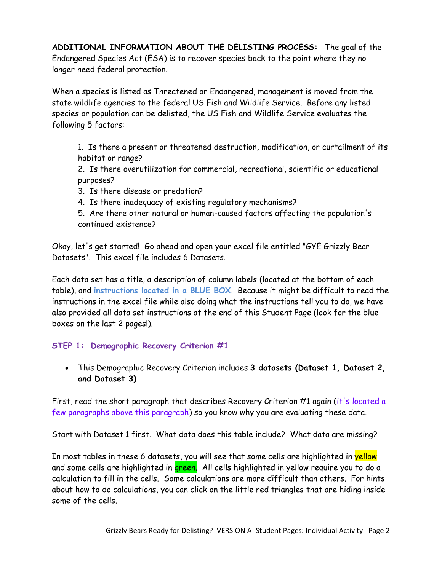**ADDITIONAL INFORMATION ABOUT THE DELISTING PROCESS:** The goal of the Endangered Species Act (ESA) is to recover species back to the point where they no longer need federal protection.

When a species is listed as Threatened or Endangered, management is moved from the state wildlife agencies to the federal US Fish and Wildlife Service. Before any listed species or population can be delisted, the US Fish and Wildlife Service evaluates the following 5 factors:

1. Is there a present or threatened destruction, modification, or curtailment of its habitat or range?

2. Is there overutilization for commercial, recreational, scientific or educational purposes?

3. Is there disease or predation?

4. Is there inadequacy of existing regulatory mechanisms?

5. Are there other natural or human-caused factors affecting the population's continued existence?

Okay, let's get started! Go ahead and open your excel file entitled "GYE Grizzly Bear Datasets". This excel file includes 6 Datasets.

Each data set has a title, a description of column labels (located at the bottom of each table), and **instructions located in a BLUE BOX**. Because it might be difficult to read the instructions in the excel file while also doing what the instructions tell you to do, we have also provided all data set instructions at the end of this Student Page (look for the blue boxes on the last 2 pages!).

### **STEP 1: Demographic Recovery Criterion #1**

 This Demographic Recovery Criterion includes **3 datasets (Dataset 1, Dataset 2, and Dataset 3)**

First, read the short paragraph that describes Recovery Criterion #1 again (it's located a few paragraphs above this paragraph) so you know why you are evaluating these data.

Start with Dataset 1 first. What data does this table include? What data are missing?

In most tables in these 6 datasets, you will see that some cells are highlighted in **yellow** and some cells are highlighted in green. All cells highlighted in yellow require you to do a calculation to fill in the cells. Some calculations are more difficult than others. For hints about how to do calculations, you can click on the little red triangles that are hiding inside some of the cells.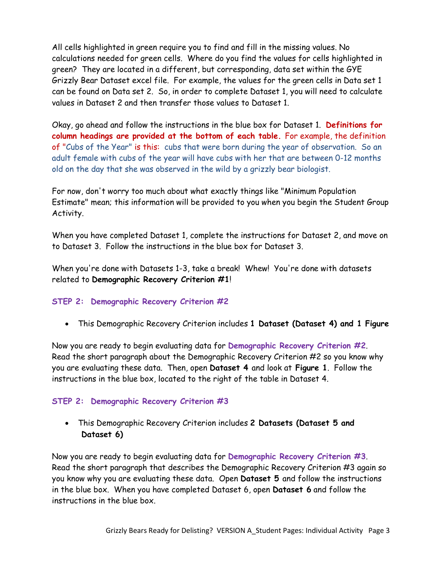All cells highlighted in green require you to find and fill in the missing values. No calculations needed for green cells. Where do you find the values for cells highlighted in green? They are located in a different, but corresponding, data set within the GYE Grizzly Bear Dataset excel file. For example, the values for the green cells in Data set 1 can be found on Data set 2. So, in order to complete Dataset 1, you will need to calculate values in Dataset 2 and then transfer those values to Dataset 1.

Okay, go ahead and follow the instructions in the blue box for Dataset 1. **Definitions for column headings are provided at the bottom of each table.** For example, the definition of "Cubs of the Year" is this: cubs that were born during the year of observation. So an adult female with cubs of the year will have cubs with her that are between 0-12 months old on the day that she was observed in the wild by a grizzly bear biologist.

For now, don't worry too much about what exactly things like "Minimum Population Estimate" mean; this information will be provided to you when you begin the Student Group Activity.

When you have completed Dataset 1, complete the instructions for Dataset 2, and move on to Dataset 3. Follow the instructions in the blue box for Dataset 3.

When you're done with Datasets 1-3, take a break! Whew! You're done with datasets related to **Demographic Recovery Criterion #1**!

## **STEP 2: Demographic Recovery Criterion #2**

This Demographic Recovery Criterion includes **1 Dataset (Dataset 4) and 1 Figure**

Now you are ready to begin evaluating data for **Demographic Recovery Criterion #2**. Read the short paragraph about the Demographic Recovery Criterion #2 so you know why you are evaluating these data. Then, open **Dataset 4** and look at **Figure 1**. Follow the instructions in the blue box, located to the right of the table in Dataset 4.

### **STEP 2: Demographic Recovery Criterion #3**

 This Demographic Recovery Criterion includes **2 Datasets (Dataset 5 and Dataset 6)**

Now you are ready to begin evaluating data for **Demographic Recovery Criterion #3**. Read the short paragraph that describes the Demographic Recovery Criterion #3 again so you know why you are evaluating these data. Open **Dataset 5** and follow the instructions in the blue box. When you have completed Dataset 6, open **Dataset 6** and follow the instructions in the blue box.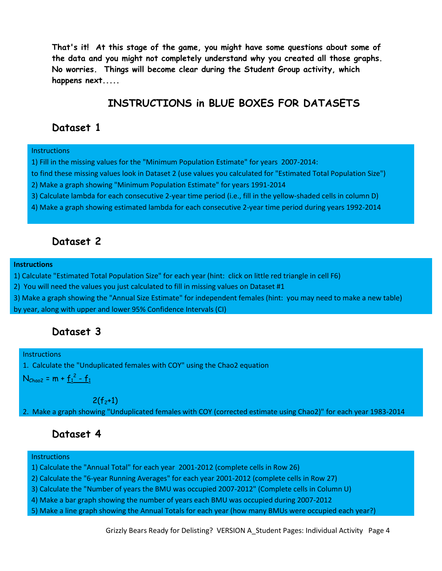**That's it! At this stage of the game, you might have some questions about some of the data and you might not completely understand why you created all those graphs. No worries. Things will become clear during the Student Group activity, which happens next.....**

# **INSTRUCTIONS in BLUE BOXES FOR DATASETS**

## **Dataset 1**

#### **Instructions**

- 1) Fill in the missing values for the "Minimum Population Estimate" for years 2007-2014:
- to find these missing values look in Dataset 2 (use values you calculated for "Estimated Total Population Size")
- 2) Make a graph showing "Minimum Population Estimate" for years 1991-2014
- 3) Calculate lambda for each consecutive 2-year time period (i.e., fill in the yellow-shaded cells in column D)
- 4) Make a graph showing estimated lambda for each consecutive 2-year time period during years 1992-2014

## **Dataset 2**

#### **Instructions**

- 1) Calculate "Estimated Total Population Size" for each year (hint: click on little red triangle in cell F6)
- 2) You will need the values you just calculated to fill in missing values on Dataset #1
- 3) Make a graph showing the "Annual Size Estimate" for independent females (hint: you may need to make a new table) by year, along with upper and lower 95% Confidence Intervals (CI)

## **Dataset 3**

### **Instructions**

1. Calculate the "Unduplicated females with COY" using the Chao2 equation

N<sub>Chao2</sub> = m +  $f_1^2 - f_1$ 

 $2(f_2+1)$ 

2. Make a graph showing "Unduplicated females with COY (corrected estimate using Chao2)" for each year 1983-2014

## **Dataset 4**

### **Instructions**

- 1) Calculate the "Annual Total" for each year 2001-2012 (complete cells in Row 26)
- 2) Calculate the "6-year Running Averages" for each year 2001-2012 (complete cells in Row 27)
- 3) Calculate the "Number of years the BMU was occupied 2007-2012" (Complete cells in Column U)
- 4) Make a bar graph showing the number of years each BMU was occupied during 2007-2012
- 5) Make a line graph showing the Annual Totals for each year (how many BMUs were occupied each year?)